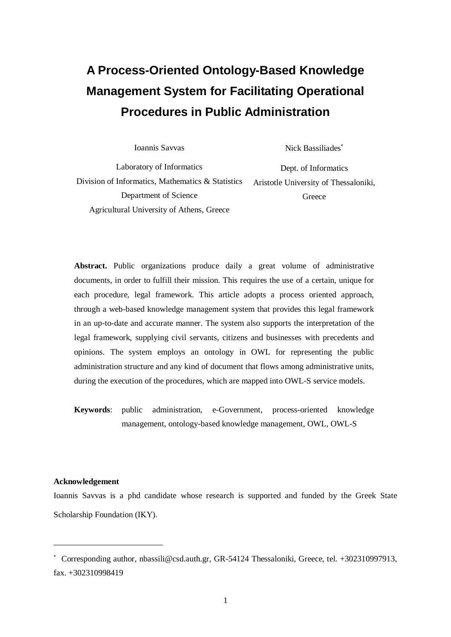# **A Process-Oriented Ontology-Based Knowledge Management System for Facilitating Operational Procedures in Public Administration**

Ioannis Savvas

Nick Bassiliades<sup>∗</sup>

Laboratory of Informatics Division of Informatics, Mathematics & Statistics Department of Science Agricultural University of Athens, Greece

Dept. of Informatics Aristotle University of Thessaloniki, **Greece** 

**Abstract.** Public organizations produce daily a great volume of administrative documents, in order to fulfill their mission. This requires the use of a certain, unique for each procedure, legal framework. This article adopts a process oriented approach, through a web-based knowledge management system that provides this legal framework in an up-to-date and accurate manner. The system also supports the interpretation of the legal framework, supplying civil servants, citizens and businesses with precedents and opinions. The system employs an ontology in OWL for representing the public administration structure and any kind of document that flows among administrative units, during the execution of the procedures, which are mapped into OWL-S service models.

**Keywords**: public administration, e-Government, process-oriented knowledge management, ontology-based knowledge management, OWL, OWL-S

#### **Acknowledgement**

 $\overline{a}$ 

Ioannis Savvas is a phd candidate whose research is supported and funded by the Greek State Scholarship Foundation (ΙΚΥ).

<sup>∗</sup> Corresponding author, nbassili@csd.auth.gr, GR-54124 Thessaloniki, Greece, tel. +302310997913, fax. +302310998419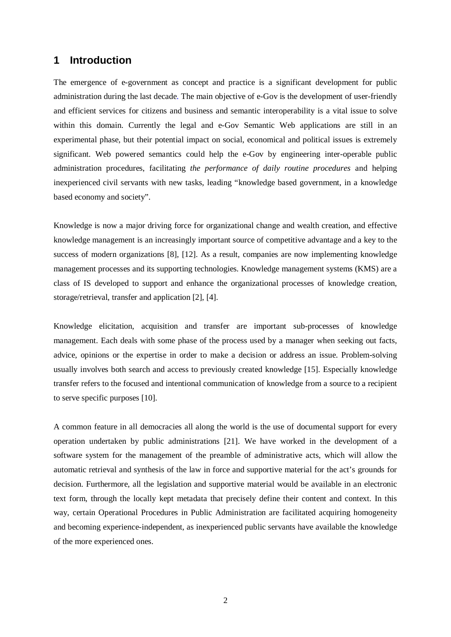## **1 Introduction**

The emergence of e-government as concept and practice is a significant development for public administration during the last decade. The main objective of e-Gov is the development of user-friendly and efficient services for citizens and business and semantic interoperability is a vital issue to solve within this domain. Currently the legal and e-Gov Semantic Web applications are still in an experimental phase, but their potential impact on social, economical and political issues is extremely significant. Web powered semantics could help the e-Gov by engineering inter-operable public administration procedures, facilitating *the performance of daily routine procedures* and helping inexperienced civil servants with new tasks, leading "knowledge based government, in a knowledge based economy and society".

Knowledge is now a major driving force for organizational change and wealth creation, and effective knowledge management is an increasingly important source of competitive advantage and a key to the success of modern organizations [\[8\],](#page-22-0) [\[12\].](#page-22-1) As a result, companies are now implementing knowledge management processes and its supporting technologies. Knowledge management systems (KMS) are a class of IS developed to support and enhance the organizational processes of knowledge creation, storage/retrieval, transfer and application [\[2\],](#page-22-2) [\[4\].](#page-22-3)

Knowledge elicitation, acquisition and transfer are important sub-processes of knowledge management. Each deals with some phase of the process used by a manager when seeking out facts, advice, opinions or the expertise in order to make a decision or address an issue. Problem-solving usually involves both search and access to previously created knowledge [\[15\].](#page-23-0) Especially knowledge transfer refers to the focused and intentional communication of knowledge from a source to a recipient to serve specific purposes [\[10\].](#page-22-4)

A common feature in all democracies all along the world is the use of documental support for every operation undertaken by public administrations [\[21\].](#page-23-1) We have worked in the development of a software system for the management of the preamble of administrative acts, which will allow the automatic retrieval and synthesis of the law in force and supportive material for the act's grounds for decision. Furthermore, all the legislation and supportive material would be available in an electronic text form, through the locally kept metadata that precisely define their content and context. In this way, certain Operational Procedures in Public Administration are facilitated acquiring homogeneity and becoming experience-independent, as inexperienced public servants have available the knowledge of the more experienced ones.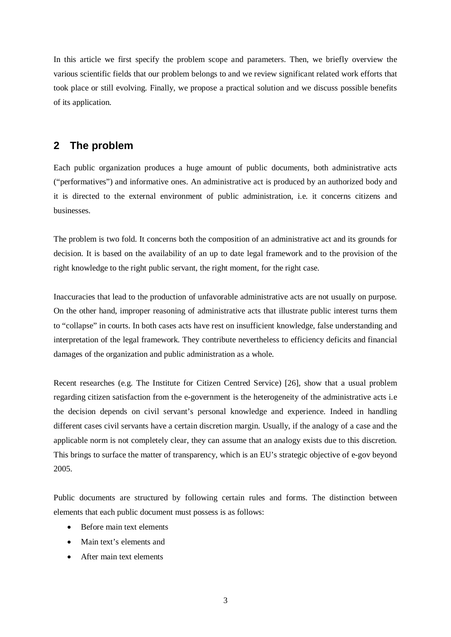In this article we first specify the problem scope and parameters. Then, we briefly overview the various scientific fields that our problem belongs to and we review significant related work efforts that took place or still evolving. Finally, we propose a practical solution and we discuss possible benefits of its application.

# **2 The problem**

Each public organization produces a huge amount of public documents, both administrative acts ("performatives") and informative ones. An administrative act is produced by an authorized body and it is directed to the external environment of public administration, i.e. it concerns citizens and businesses.

The problem is two fold. It concerns both the composition of an administrative act and its grounds for decision. It is based on the availability of an up to date legal framework and to the provision of the right knowledge to the right public servant, the right moment, for the right case.

Inaccuracies that lead to the production of unfavorable administrative acts are not usually on purpose. On the other hand, improper reasoning of administrative acts that illustrate public interest turns them to "collapse" in courts. In both cases acts have rest on insufficient knowledge, false understanding and interpretation of the legal framework. They contribute nevertheless to efficiency deficits and financial damages of the organization and public administration as a whole.

Recent researches (e.g. The Institute for Citizen Centred Service) [\[26\],](#page-23-2) show that a usual problem regarding citizen satisfaction from the e-government is the heterogeneity of the administrative acts i.e the decision depends on civil servant's personal knowledge and experience. Indeed in handling different cases civil servants have a certain discretion margin. Usually, if the analogy of a case and the applicable norm is not completely clear, they can assume that an analogy exists due to this discretion. This brings to surface the matter of transparency, which is an EU's strategic objective of e-gov beyond 2005.

Public documents are structured by following certain rules and forms. The distinction between elements that each public document must possess is as follows:

- Before main text elements
- Main text's elements and
- After main text elements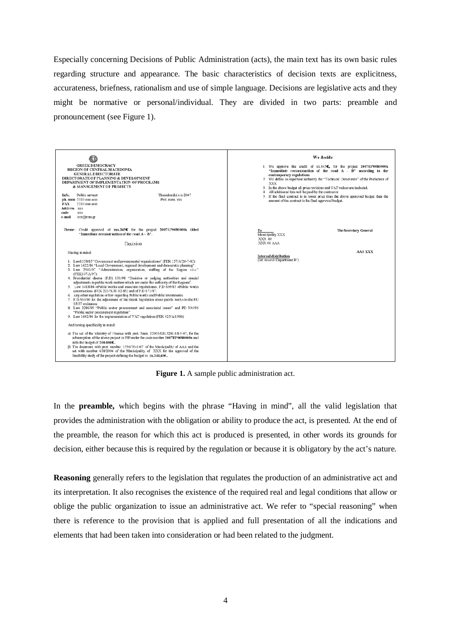Especially concerning Decisions of Public Administration (acts), the main text has its own basic rules regarding structure and appearance. The basic characteristics of decision texts are explicitness, accurateness, briefness, rationalism and use of simple language. Decisions are legislative acts and they might be normative or personal/individual. They are divided in two parts: preamble and pronouncement (see [Figure 1\)](#page-3-0).



**Figure 1.** A sample public administration act.

<span id="page-3-0"></span>In the **preamble,** which begins with the phrase "Having in mind", all the valid legislation that provides the administration with the obligation or ability to produce the act, is presented. At the end of the preamble, the reason for which this act is produced is presented, in other words its grounds for decision, either because this is required by the regulation or because it is obligatory by the act's nature.

**Reasoning** generally refers to the legislation that regulates the production of an administrative act and its interpretation. It also recognises the existence of the required real and legal conditions that allow or oblige the public organization to issue an administrative act. We refer to "special reasoning" when there is reference to the provision that is applied and full presentation of all the indications and elements that had been taken into consideration or had been related to the judgment.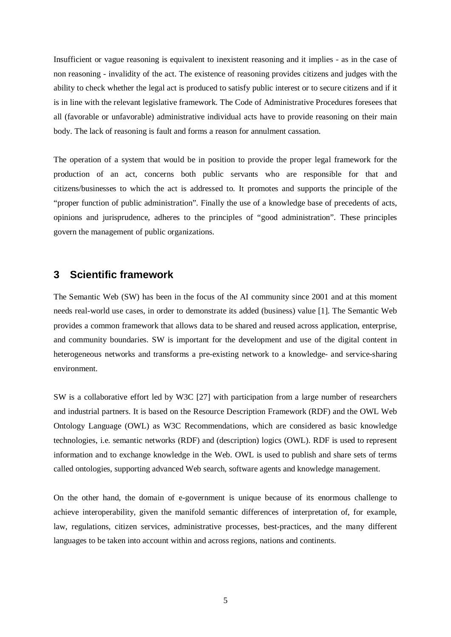Insufficient or vague reasoning is equivalent to inexistent reasoning and it implies - as in the case of non reasoning - invalidity of the act. The existence of reasoning provides citizens and judges with the ability to check whether the legal act is produced to satisfy public interest or to secure citizens and if it is in line with the relevant legislative framework. The Code of Administrative Procedures foresees that all (favorable or unfavorable) administrative individual acts have to provide reasoning on their main body. The lack of reasoning is fault and forms a reason for annulment cassation.

The operation of a system that would be in position to provide the proper legal framework for the production of an act, concerns both public servants who are responsible for that and citizens/businesses to which the act is addressed to. It promotes and supports the principle of the "proper function of public administration". Finally the use of a knowledge base of precedents of acts, opinions and jurisprudence, adheres to the principles of "good administration". These principles govern the management of public organizations.

## **3 Scientific framework**

The Semantic Web (SW) has been in the focus of the AI community since 2001 and at this moment needs real-world use cases, in order to demonstrate its added (business) value [\[1\].](#page-22-5) The Semantic Web provides a common framework that allows data to be shared and reused across application, enterprise, and community boundaries. SW is important for the development and use of the digital content in heterogeneous networks and transforms a pre-existing network to a knowledge- and service-sharing environment.

SW is a collaborative effort led by W3C [\[27\]](#page-23-3) with participation from a large number of researchers and industrial partners. It is based on the Resource Description Framework (RDF) and the OWL Web Ontology Language (OWL) as W3C Recommendations, which are considered as basic knowledge technologies, i.e. semantic networks (RDF) and (description) logics (OWL). RDF is used to represent information and to exchange knowledge in the Web. OWL is used to publish and share sets of terms called ontologies, supporting advanced Web search, software agents and knowledge management.

On the other hand, the domain of e-government is unique because of its enormous challenge to achieve interoperability, given the manifold semantic differences of interpretation of, for example, law, regulations, citizen services, administrative processes, best-practices, and the many different languages to be taken into account within and across regions, nations and continents.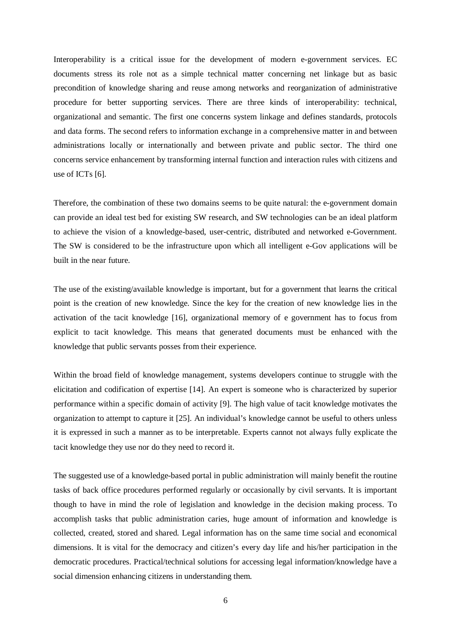Interoperability is a critical issue for the development of modern e-government services. EC documents stress its role not as a simple technical matter concerning net linkage but as basic precondition of knowledge sharing and reuse among networks and reorganization of administrative procedure for better supporting services. There are three kinds of interoperability: technical, organizational and semantic. The first one concerns system linkage and defines standards, protocols and data forms. The second refers to information exchange in a comprehensive matter in and between administrations locally or internationally and between private and public sector. The third one concerns service enhancement by transforming internal function and interaction rules with citizens and use of ICTs [\[6\].](#page-22-6)

Therefore, the combination of these two domains seems to be quite natural: the e-government domain can provide an ideal test bed for existing SW research, and SW technologies can be an ideal platform to achieve the vision of a knowledge-based, user-centric, distributed and networked e-Government. The SW is considered to be the infrastructure upon which all intelligent e-Gov applications will be built in the near future.

The use of the existing/available knowledge is important, but for a government that learns the critical point is the creation of new knowledge. Since the key for the creation of new knowledge lies in the activation of the tacit knowledge [\[16\],](#page-23-4) organizational memory of e government has to focus from explicit to tacit knowledge. This means that generated documents must be enhanced with the knowledge that public servants posses from their experience.

Within the broad field of knowledge management, systems developers continue to struggle with the elicitation and codification of expertise [\[14\].](#page-23-5) An expert is someone who is characterized by superior performance within a specific domain of activity [\[9\].](#page-22-7) The high value of tacit knowledge motivates the organization to attempt to capture it [\[25\].](#page-23-6) An individual's knowledge cannot be useful to others unless it is expressed in such a manner as to be interpretable. Experts cannot not always fully explicate the tacit knowledge they use nor do they need to record it.

The suggested use of a knowledge-based portal in public administration will mainly benefit the routine tasks of back office procedures performed regularly or occasionally by civil servants. It is important though to have in mind the role of legislation and knowledge in the decision making process. To accomplish tasks that public administration caries, huge amount of information and knowledge is collected, created, stored and shared. Legal information has on the same time social and economical dimensions. It is vital for the democracy and citizen's every day life and his/her participation in the democratic procedures. Practical/technical solutions for accessing legal information/knowledge have a social dimension enhancing citizens in understanding them.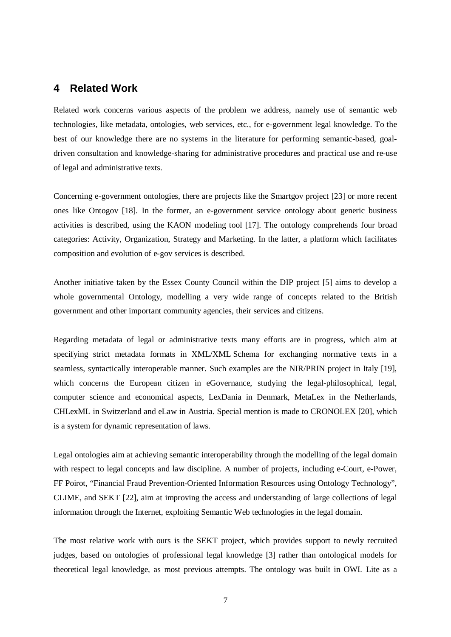## **4 Related Work**

Related work concerns various aspects of the problem we address, namely use of semantic web technologies, like metadata, ontologies, web services, etc., for e-government legal knowledge. To the best of our knowledge there are no systems in the literature for performing semantic-based, goaldriven consultation and knowledge-sharing for administrative procedures and practical use and re-use of legal and administrative texts.

Concerning e-government ontologies, there are projects like the Smartgov project [\[23\]](#page-23-7) or more recent ones like Ontogov [\[18\].](#page-23-8) In the former, an e-government service ontology about generic business activities is described, using the KAON modeling tool [\[17\].](#page-23-9) The ontology comprehends four broad categories: Activity, Organization, Strategy and Marketing. In the latter, a platform which facilitates composition and evolution of e-gov services is described.

Another initiative taken by the Essex County Council within the DIP project [\[5\]](#page-22-8) aims to develop a whole governmental Ontology, modelling a very wide range of concepts related to the British government and other important community agencies, their services and citizens.

Regarding metadata of legal or administrative texts many efforts are in progress, which aim at specifying strict metadata formats in XML/XML Schema for exchanging normative texts in a seamless, syntactically interoperable manner. Such examples are the NIR/PRIN project in Italy [\[19\],](#page-23-10) which concerns the European citizen in eGovernance, studying the legal-philosophical, legal, computer science and economical aspects, LexDania in Denmark, MetaLex in the Netherlands, CHLexML in Switzerland and eLaw in Austria. Special mention is made to CRONOLEX [\[20\],](#page-23-11) which is a system for dynamic representation of laws.

Legal ontologies aim at achieving semantic interoperability through the modelling of the legal domain with respect to legal concepts and law discipline. A number of projects, including e-Court, e-Power, FF Poirot, "Financial Fraud Prevention-Oriented Information Resources using Ontology Technology", CLIME, and SEKT [\[22\],](#page-23-12) aim at improving the access and understanding of large collections of legal information through the Internet, exploiting Semantic Web technologies in the legal domain.

The most relative work with ours is the SEKT project, which provides support to newly recruited judges, based on ontologies of professional legal knowledge [\[3\]](#page-22-9) rather than ontological models for theoretical legal knowledge, as most previous attempts. The ontology was built in OWL Lite as a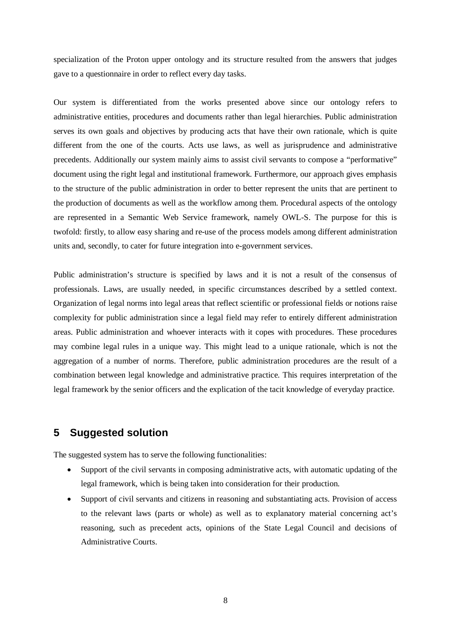specialization of the Proton upper ontology and its structure resulted from the answers that judges gave to a questionnaire in order to reflect every day tasks.

Our system is differentiated from the works presented above since our ontology refers to administrative entities, procedures and documents rather than legal hierarchies. Public administration serves its own goals and objectives by producing acts that have their own rationale, which is quite different from the one of the courts. Acts use laws, as well as jurisprudence and administrative precedents. Additionally our system mainly aims to assist civil servants to compose a "performative" document using the right legal and institutional framework. Furthermore, our approach gives emphasis to the structure of the public administration in order to better represent the units that are pertinent to the production of documents as well as the workflow among them. Procedural aspects of the ontology are represented in a Semantic Web Service framework, namely OWL-S. The purpose for this is twofold: firstly, to allow easy sharing and re-use of the process models among different administration units and, secondly, to cater for future integration into e-government services.

Public administration's structure is specified by laws and it is not a result of the consensus of professionals. Laws, are usually needed, in specific circumstances described by a settled context. Organization of legal norms into legal areas that reflect scientific or professional fields or notions raise complexity for public administration since a legal field may refer to entirely different administration areas. Public administration and whoever interacts with it copes with procedures. These procedures may combine legal rules in a unique way. This might lead to a unique rationale, which is not the aggregation of a number of norms. Therefore, public administration procedures are the result of a combination between legal knowledge and administrative practice. This requires interpretation of the legal framework by the senior officers and the explication of the tacit knowledge of everyday practice.

# **5 Suggested solution**

The suggested system has to serve the following functionalities:

- Support of the civil servants in composing administrative acts, with automatic updating of the legal framework, which is being taken into consideration for their production.
- Support of civil servants and citizens in reasoning and substantiating acts. Provision of access to the relevant laws (parts or whole) as well as to explanatory material concerning act's reasoning, such as precedent acts, opinions of the State Legal Council and decisions of Administrative Courts.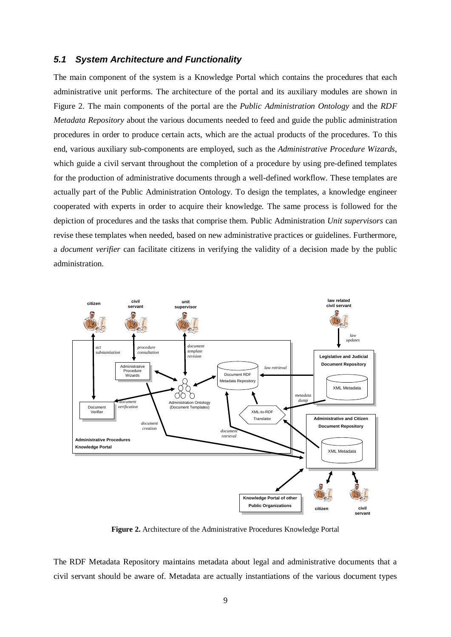## *5.1 System Architecture and Functionality*

The main component of the system is a Knowledge Portal which contains the procedures that each administrative unit performs. The architecture of the portal and its auxiliary modules are shown in [Figure 2.](#page-8-0) The main components of the portal are the *Public Administration Ontology* and the *RDF Metadata Repository* about the various documents needed to feed and guide the public administration procedures in order to produce certain acts, which are the actual products of the procedures. To this end, various auxiliary sub-components are employed, such as the *Administrative Procedure Wizards*, which guide a civil servant throughout the completion of a procedure by using pre-defined templates for the production of administrative documents through a well-defined workflow. These templates are actually part of the Public Administration Ontology. To design the templates, a knowledge engineer cooperated with experts in order to acquire their knowledge. The same process is followed for the depiction of procedures and the tasks that comprise them. Public Administration *Unit supervisors* can revise these templates when needed, based on new administrative practices or guidelines. Furthermore, a *document verifier* can facilitate citizens in verifying the validity of a decision made by the public administration.



**Figure 2.** Architecture of the Administrative Procedures Knowledge Portal

<span id="page-8-0"></span>The RDF Metadata Repository maintains metadata about legal and administrative documents that a civil servant should be aware of. Metadata are actually instantiations of the various document types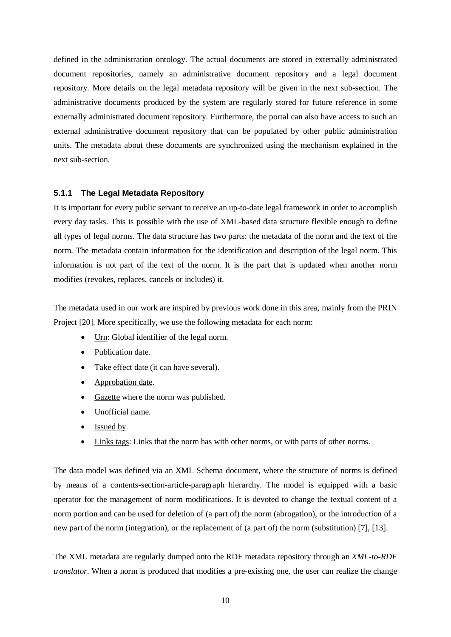defined in the administration ontology. The actual documents are stored in externally administrated document repositories, namely an administrative document repository and a legal document repository. More details on the legal metadata repository will be given in the next sub-section. The administrative documents produced by the system are regularly stored for future reference in some externally administrated document repository. Furthermore, the portal can also have access to such an external administrative document repository that can be populated by other public administration units. The metadata about these documents are synchronized using the mechanism explained in the next sub-section.

#### **5.1.1 The Legal Metadata Repository**

It is important for every public servant to receive an up-to-date legal framework in order to accomplish every day tasks. This is possible with the use of XML-based data structure flexible enough to define all types of legal norms. The data structure has two parts: the metadata of the norm and the text of the norm. The metadata contain information for the identification and description of the legal norm. This information is not part of the text of the norm. It is the part that is updated when another norm modifies (revokes, replaces, cancels or includes) it.

The metadata used in our work are inspired by previous work done in this area, mainly from the PRIN Project [\[20\].](#page-23-11) More specifically, we use the following metadata for each norm:

- Urn: Global identifier of the legal norm.
- Publication date.
- Take effect date (it can have several).
- Approbation date.
- Gazette where the norm was published.
- Unofficial name.
- Issued by.
- Links tags: Links that the norm has with other norms, or with parts of other norms.

The data model was defined via an XML Schema document, where the structure of norms is defined by means of a contents-section-article-paragraph hierarchy. The model is equipped with a basic operator for the management of norm modifications. It is devoted to change the textual content of a norm portion and can be used for deletion of (a part of) the norm (abrogation), or the introduction of a new part of the norm (integration), or the replacement of (a part of) the norm (substitution) [\[7\],](#page-22-10) [\[13\].](#page-23-13)

The XML metadata are regularly dumped onto the RDF metadata repository through an *XML-to-RDF translator*. When a norm is produced that modifies a pre-existing one, the user can realize the change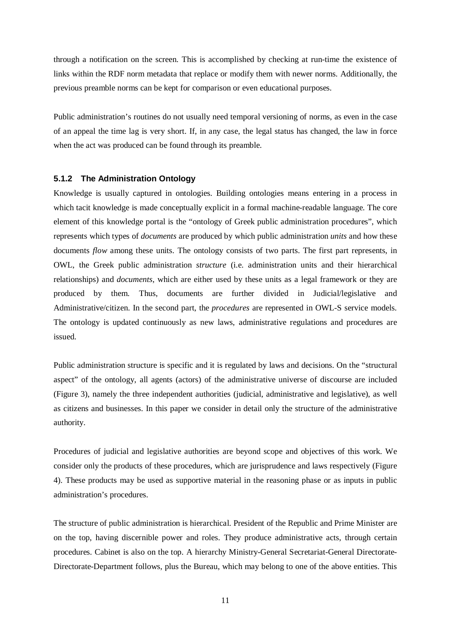through a notification on the screen. This is accomplished by checking at run-time the existence of links within the RDF norm metadata that replace or modify them with newer norms. Additionally, the previous preamble norms can be kept for comparison or even educational purposes.

Public administration's routines do not usually need temporal versioning of norms, as even in the case of an appeal the time lag is very short. If, in any case, the legal status has changed, the law in force when the act was produced can be found through its preamble.

## **5.1.2 The Administration Ontology**

Knowledge is usually captured in ontologies. Building ontologies means entering in a process in which tacit knowledge is made conceptually explicit in a formal machine-readable language. The core element of this knowledge portal is the "ontology of Greek public administration procedures", which represents which types of *documents* are produced by which public administration *units* and how these documents *flow* among these units. The ontology consists of two parts. The first part represents, in OWL, the Greek public administration *structure* (i.e. administration units and their hierarchical relationships) and *documents*, which are either used by these units as a legal framework or they are produced by them. Thus, documents are further divided in Judicial/legislative and Administrative/citizen. In the second part, the *procedures* are represented in OWL-S service models. The ontology is updated continuously as new laws, administrative regulations and procedures are issued.

Public administration structure is specific and it is regulated by laws and decisions. On the "structural aspect" of the ontology, all agents (actors) of the administrative universe of discourse are included [\(Figure 3\)](#page-11-0), namely the three independent authorities (judicial, administrative and legislative), as well as citizens and businesses. In this paper we consider in detail only the structure of the administrative authority.

Procedures of judicial and legislative authorities are beyond scope and objectives of this work. We consider only the products of these procedures, which are jurisprudence and laws respectively [\(Figure](#page-11-1)  [4\)](#page-11-1). These products may be used as supportive material in the reasoning phase or as inputs in public administration's procedures.

The structure of public administration is hierarchical. President of the Republic and Prime Minister are on the top, having discernible power and roles. They produce administrative acts, through certain procedures. Cabinet is also on the top. A hierarchy Ministry-General Secretariat-General Directorate-Directorate-Department follows, plus the Bureau, which may belong to one of the above entities. This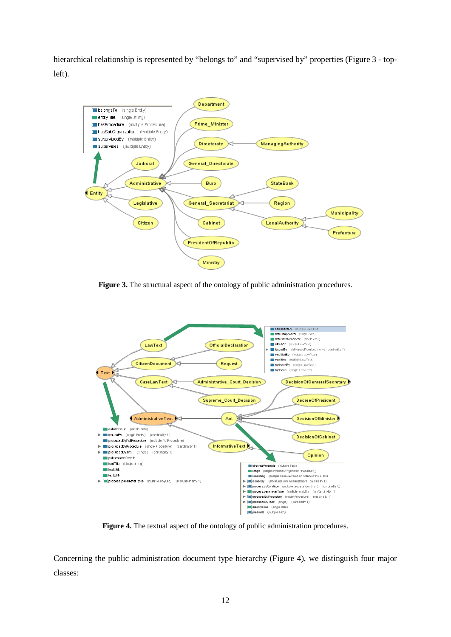hierarchical relationship is represented by "belongs to" and "supervised by" properties [\(Figure 3](#page-11-0) - topleft).



<span id="page-11-0"></span>Figure 3. The structural aspect of the ontology of public administration procedures.



**Figure 4.** The textual aspect of the ontology of public administration procedures.

<span id="page-11-1"></span>Concerning the public administration document type hierarchy [\(Figure 4\)](#page-11-1), we distinguish four major classes: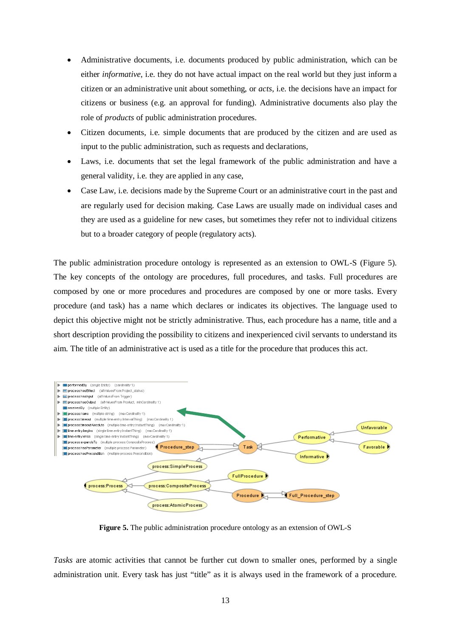- Administrative documents, i.e. documents produced by public administration, which can be either *informative*, i.e. they do not have actual impact on the real world but they just inform a citizen or an administrative unit about something, or *acts*, i.e. the decisions have an impact for citizens or business (e.g. an approval for funding). Administrative documents also play the role of *products* of public administration procedures.
- Citizen documents, i.e. simple documents that are produced by the citizen and are used as input to the public administration, such as requests and declarations,
- Laws, i.e. documents that set the legal framework of the public administration and have a general validity, i.e. they are applied in any case,
- Case Law, i.e. decisions made by the Supreme Court or an administrative court in the past and are regularly used for decision making. Case Laws are usually made on individual cases and they are used as a guideline for new cases, but sometimes they refer not to individual citizens but to a broader category of people (regulatory acts).

The public administration procedure ontology is represented as an extension to OWL-S [\(Figure 5\)](#page-12-0). The key concepts of the ontology are procedures, full procedures, and tasks. Full procedures are composed by one or more procedures and procedures are composed by one or more tasks. Every procedure (and task) has a name which declares or indicates its objectives. The language used to depict this objective might not be strictly administrative. Thus, each procedure has a name, title and a short description providing the possibility to citizens and inexperienced civil servants to understand its aim. The title of an administrative act is used as a title for the procedure that produces this act.



Figure 5. The public administration procedure ontology as an extension of OWL-S

<span id="page-12-0"></span>*Tasks* are atomic activities that cannot be further cut down to smaller ones, performed by a single administration unit. Every task has just "title" as it is always used in the framework of a procedure.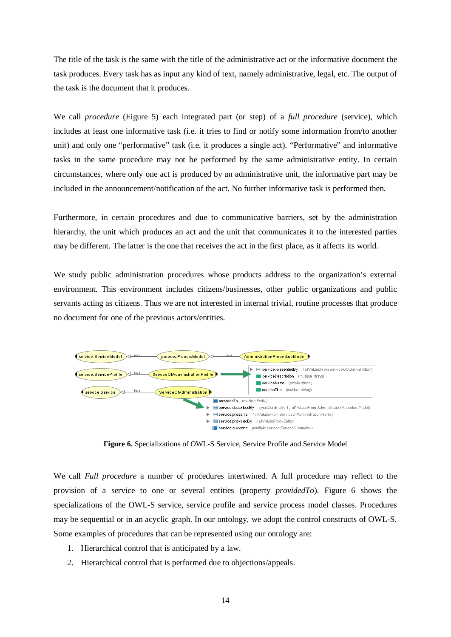The title of the task is the same with the title of the administrative act or the informative document the task produces. Every task has as input any kind of text, namely administrative, legal, etc. The output of the task is the document that it produces.

We call *procedure* [\(Figure 5\)](#page-12-0) each integrated part (or step) of a *full procedure* (service), which includes at least one informative task (i.e. it tries to find or notify some information from/to another unit) and only one "performative" task (i.e. it produces a single act). "Performative" and informative tasks in the same procedure may not be performed by the same administrative entity. In certain circumstances, where only one act is produced by an administrative unit, the informative part may be included in the announcement/notification of the act. No further informative task is performed then.

Furthermore, in certain procedures and due to communicative barriers, set by the administration hierarchy, the unit which produces an act and the unit that communicates it to the interested parties may be different. The latter is the one that receives the act in the first place, as it affects its world.

We study public administration procedures whose products address to the organization's external environment. This environment includes citizens/businesses, other public organizations and public servants acting as citizens. Thus we are not interested in internal trivial, routine processes that produce no document for one of the previous actors/entities.



**Figure 6.** Specializations of OWL-S Service, Service Profile and Service Model

<span id="page-13-0"></span>We call *Full procedure* a number of procedures intertwined. A full procedure may reflect to the provision of a service to one or several entities (property *providedTo*). [Figure 6](#page-13-0) shows the specializations of the OWL-S service, service profile and service process model classes. Procedures may be sequential or in an acyclic graph. In our ontology, we adopt the control constructs of OWL-S. Some examples of procedures that can be represented using our ontology are:

- 1. Hierarchical control that is anticipated by a law.
- 2. Hierarchical control that is performed due to objections/appeals.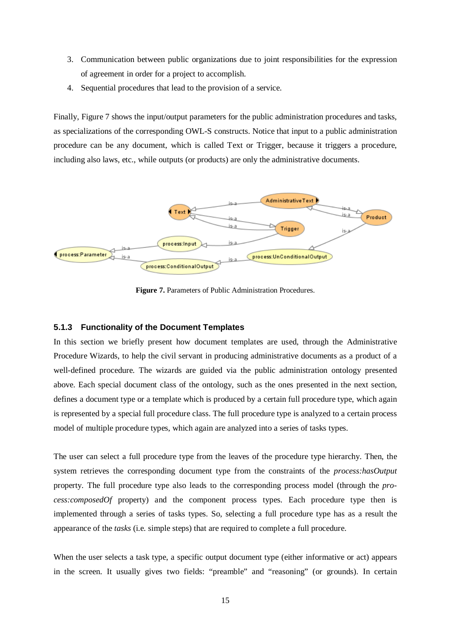- 3. Communication between public organizations due to joint responsibilities for the expression of agreement in order for a project to accomplish.
- 4. Sequential procedures that lead to the provision of a service.

Finally, [Figure 7](#page-14-0) shows the input/output parameters for the public administration procedures and tasks, as specializations of the corresponding OWL-S constructs. Notice that input to a public administration procedure can be any document, which is called Text or Trigger, because it triggers a procedure, including also laws, etc., while outputs (or products) are only the administrative documents.



**Figure 7.** Parameters of Public Administration Procedures.

## <span id="page-14-0"></span>**5.1.3 Functionality of the Document Templates**

In this section we briefly present how document templates are used, through the Administrative Procedure Wizards, to help the civil servant in producing administrative documents as a product of a well-defined procedure. The wizards are guided via the public administration ontology presented above. Each special document class of the ontology, such as the ones presented in the next section, defines a document type or a template which is produced by a certain full procedure type, which again is represented by a special full procedure class. The full procedure type is analyzed to a certain process model of multiple procedure types, which again are analyzed into a series of tasks types.

The user can select a full procedure type from the leaves of the procedure type hierarchy. Then, the system retrieves the corresponding document type from the constraints of the *process:hasOutput* property. The full procedure type also leads to the corresponding process model (through the *process:composedOf* property) and the component process types. Each procedure type then is implemented through a series of tasks types. So, selecting a full procedure type has as a result the appearance of the *tasks* (i.e. simple steps) that are required to complete a full procedure.

When the user selects a task type, a specific output document type (either informative or act) appears in the screen. It usually gives two fields: "preamble" and "reasoning" (or grounds). In certain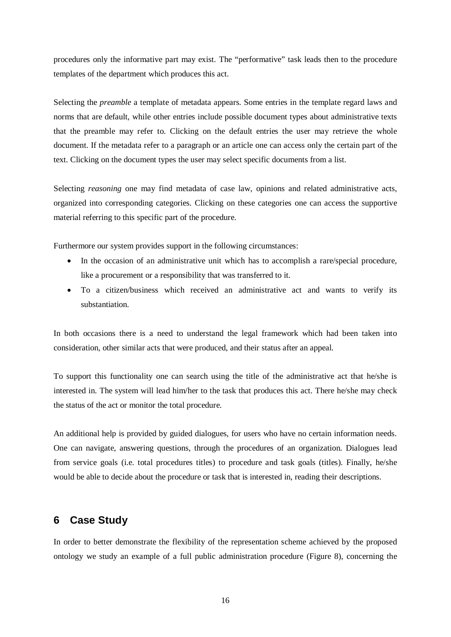procedures only the informative part may exist. The "performative" task leads then to the procedure templates of the department which produces this act.

Selecting the *preamble* a template of metadata appears. Some entries in the template regard laws and norms that are default, while other entries include possible document types about administrative texts that the preamble may refer to. Clicking on the default entries the user may retrieve the whole document. If the metadata refer to a paragraph or an article one can access only the certain part of the text. Clicking on the document types the user may select specific documents from a list.

Selecting *reasoning* one may find metadata of case law, opinions and related administrative acts, organized into corresponding categories. Clicking on these categories one can access the supportive material referring to this specific part of the procedure.

Furthermore our system provides support in the following circumstances:

- In the occasion of an administrative unit which has to accomplish a rare/special procedure, like a procurement or a responsibility that was transferred to it.
- To a citizen/business which received an administrative act and wants to verify its substantiation.

In both occasions there is a need to understand the legal framework which had been taken into consideration, other similar acts that were produced, and their status after an appeal.

To support this functionality one can search using the title of the administrative act that he/she is interested in. The system will lead him/her to the task that produces this act. There he/she may check the status of the act or monitor the total procedure.

An additional help is provided by guided dialogues, for users who have no certain information needs. One can navigate, answering questions, through the procedures of an organization. Dialogues lead from service goals (i.e. total procedures titles) to procedure and task goals (titles). Finally, he/she would be able to decide about the procedure or task that is interested in, reading their descriptions.

## **6 Case Study**

In order to better demonstrate the flexibility of the representation scheme achieved by the proposed ontology we study an example of a full public administration procedure [\(Figure 8\)](#page-16-0), concerning the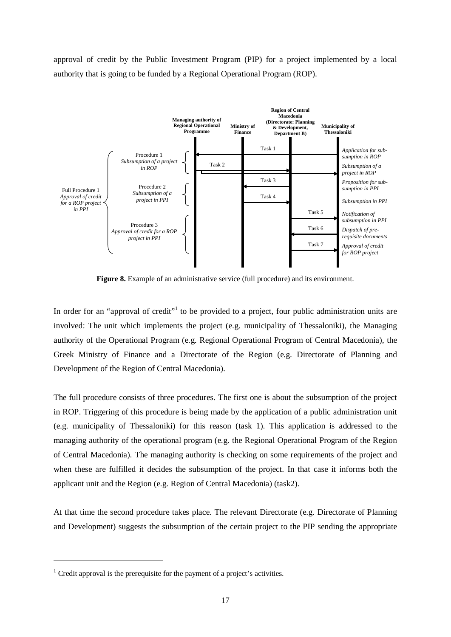approval of credit by the Public Investment Program (PIP) for a project implemented by a local authority that is going to be funded by a Regional Operational Program (ROP).



**Figure 8.** Example of an administrative service (full procedure) and its environment.

<span id="page-16-0"></span>In order for an "approval of credit"<sup>1</sup> to be provided to a project, four public administration units are involved: The unit which implements the project (e.g. municipality of Thessaloniki), the Managing authority of the Operational Program (e.g. Regional Operational Program of Central Macedonia), the Greek Ministry of Finance and a Directorate of the Region (e.g. Directorate of Planning and Development of the Region of Central Macedonia).

The full procedure consists of three procedures. The first one is about the subsumption of the project in ROP. Triggering of this procedure is being made by the application of a public administration unit (e.g. municipality of Thessaloniki) for this reason (task 1). This application is addressed to the managing authority of the operational program (e.g. the Regional Operational Program of the Region of Central Macedonia). The managing authority is checking on some requirements of the project and when these are fulfilled it decides the subsumption of the project. In that case it informs both the applicant unit and the Region (e.g. Region of Central Macedonia) (task2).

At that time the second procedure takes place. The relevant Directorate (e.g. Directorate of Planning and Development) suggests the subsumption of the certain project to the PIP sending the appropriate

 $\overline{a}$ 

 $1$  Credit approval is the prerequisite for the payment of a project's activities.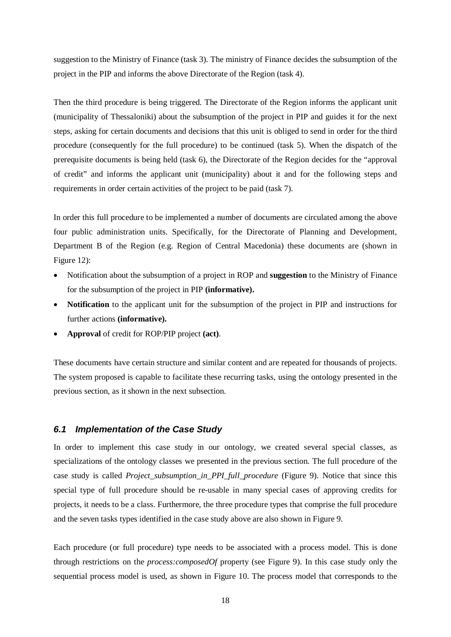suggestion to the Ministry of Finance (task 3). The ministry of Finance decides the subsumption of the project in the PIP and informs the above Directorate of the Region (task 4).

Then the third procedure is being triggered. The Directorate of the Region informs the applicant unit (municipality of Thessaloniki) about the subsumption of the project in PIP and guides it for the next steps, asking for certain documents and decisions that this unit is obliged to send in order for the third procedure (consequently for the full procedure) to be continued (task 5). When the dispatch of the prerequisite documents is being held (task 6), the Directorate of the Region decides for the "approval of credit" and informs the applicant unit (municipality) about it and for the following steps and requirements in order certain activities of the project to be paid (task 7).

In order this full procedure to be implemented a number of documents are circulated among the above four public administration units. Specifically, for the Directorate of Planning and Development, Department B of the Region (e.g. Region of Central Macedonia) these documents are (shown in [Figure 12\)](#page-19-0):

- Notification about the subsumption of a project in ROP and **suggestion** to the Ministry of Finance for the subsumption of the project in PIP **(informative).**
- **Notification** to the applicant unit for the subsumption of the project in PIP and instructions for further actions **(informative).**
- **Approval** of credit for ROP/PIP project **(act)**.

These documents have certain structure and similar content and are repeated for thousands of projects. The system proposed is capable to facilitate these recurring tasks, using the ontology presented in the previous section, as it shown in the next subsection.

## *6.1 Implementation of the Case Study*

In order to implement this case study in our ontology, we created several special classes, as specializations of the ontology classes we presented in the previous section. The full procedure of the case study is called *Project subsumption in PPI full procedure* [\(Figure 9\)](#page-18-0). Notice that since this special type of full procedure should be re-usable in many special cases of approving credits for projects, it needs to be a class. Furthermore, the three procedure types that comprise the full procedure and the seven tasks types identified in the case study above are also shown in [Figure 9.](#page-18-0) 

Each procedure (or full procedure) type needs to be associated with a process model. This is done through restrictions on the *process:composedOf* property (see [Figure 9\)](#page-18-0). In this case study only the sequential process model is used, as shown in [Figure 10.](#page-18-1) The process model that corresponds to the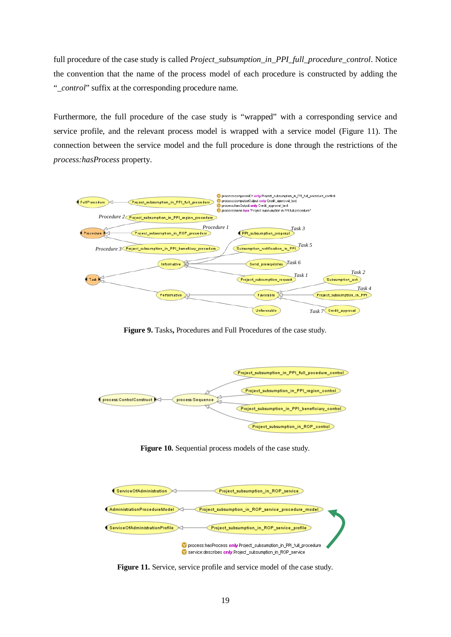full procedure of the case study is called *Project* subsumption in PPI full procedure control. Notice the convention that the name of the process model of each procedure is constructed by adding the "*\_control*" suffix at the corresponding procedure name.

Furthermore, the full procedure of the case study is "wrapped" with a corresponding service and service profile, and the relevant process model is wrapped with a service model [\(Figure 11\)](#page-18-2). The connection between the service model and the full procedure is done through the restrictions of the *process:hasProcess* property.



Figure 9. Tasks, Procedures and Full Procedures of the case study.

<span id="page-18-0"></span>

Figure 10. Sequential process models of the case study.

<span id="page-18-1"></span>

<span id="page-18-2"></span>Figure 11. Service, service profile and service model of the case study.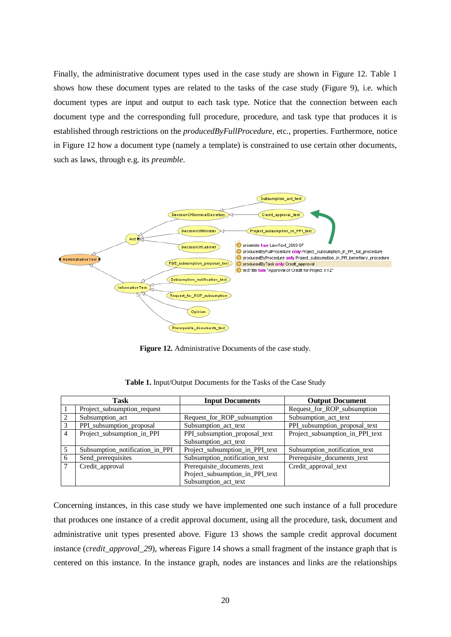Finally, the administrative document types used in the case study are shown in [Figure 12.](#page-19-0) [Table 1](#page-19-1) shows how these document types are related to the tasks of the case study [\(Figure 9\)](#page-18-0), i.e. which document types are input and output to each task type. Notice that the connection between each document type and the corresponding full procedure, procedure, and task type that produces it is established through restrictions on the *producedByFullProcedure*, etc., properties. Furthermore, notice in [Figure 12](#page-19-0) how a document type (namely a template) is constrained to use certain other documents, such as laws, through e.g. its *preamble*.



**Figure 12.** Administrative Documents of the case study.

<span id="page-19-1"></span><span id="page-19-0"></span>

|                | Task                            | <b>Input Documents</b>          | <b>Output Document</b>          |
|----------------|---------------------------------|---------------------------------|---------------------------------|
|                | Project subsumption request     |                                 | Request_for_ROP_subsumption     |
|                | Subsumption act                 | Request for ROP subsumption     | Subsumption_act_text            |
|                | PPI_subsumption_proposal        | Subsumption_act_text            | PPI_subsumption_proposal_text   |
| $\overline{4}$ | Project_subsumption_in_PPI      | PPI_subsumption_proposal_text   | Project_subsumption_in_PPI_text |
|                |                                 | Subsumption act text            |                                 |
|                | Subsumption_notification_in_PPI | Project_subsumption_in_PPI_text | Subsumption_notification_text   |
| 6              | Send_prerequisites              | Subsumption_notification_text   | Prerequisite_documents_text     |
| 7              | Credit_approval                 | Prerequisite documents text     | Credit_approval_text            |
|                |                                 | Project_subsumption_in_PPI_text |                                 |
|                |                                 | Subsumption act text            |                                 |

**Table 1.** Input/Output Documents for the Tasks of the Case Study

Concerning instances, in this case study we have implemented one such instance of a full procedure that produces one instance of a credit approval document, using all the procedure, task, document and administrative unit types presented above. [Figure 13](#page-20-0) shows the sample credit approval document instance (*credit\_approval\_29*), whereas [Figure 14](#page-20-1) shows a small fragment of the instance graph that is centered on this instance. In the instance graph, nodes are instances and links are the relationships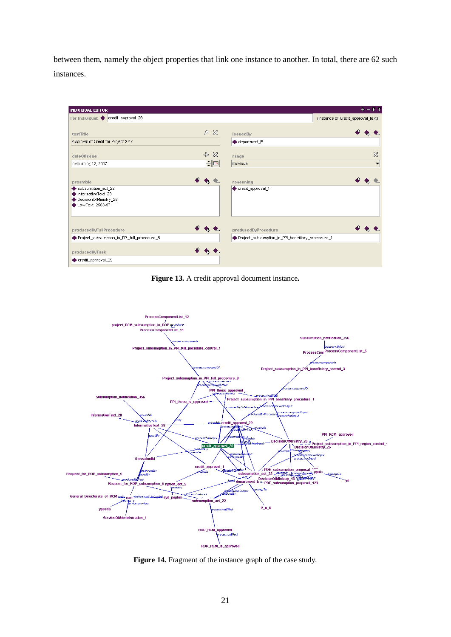between them, namely the object properties that link one instance to another. In total, there are 62 such instances.



**Figure 13.** A credit approval document instance**.**

<span id="page-20-0"></span>

<span id="page-20-1"></span>Figure 14. Fragment of the instance graph of the case study.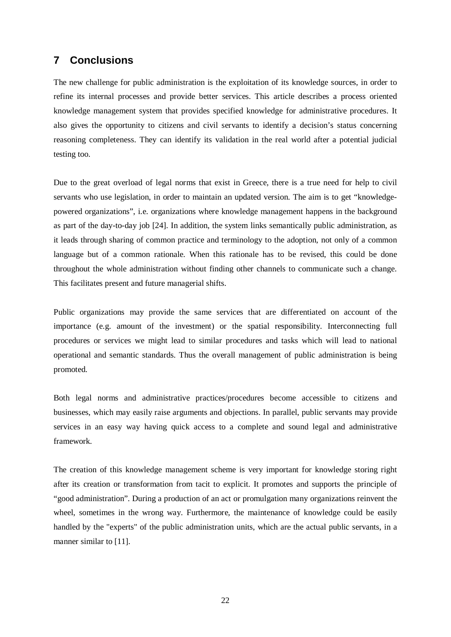# **7 Conclusions**

The new challenge for public administration is the exploitation of its knowledge sources, in order to refine its internal processes and provide better services. This article describes a process oriented knowledge management system that provides specified knowledge for administrative procedures. It also gives the opportunity to citizens and civil servants to identify a decision's status concerning reasoning completeness. They can identify its validation in the real world after a potential judicial testing too.

Due to the great overload of legal norms that exist in Greece, there is a true need for help to civil servants who use legislation, in order to maintain an updated version. The aim is to get "knowledgepowered organizations", i.e. organizations where knowledge management happens in the background as part of the day-to-day job [\[24\].](#page-23-14) In addition, the system links semantically public administration, as it leads through sharing of common practice and terminology to the adoption, not only of a common language but of a common rationale. When this rationale has to be revised, this could be done throughout the whole administration without finding other channels to communicate such a change. This facilitates present and future managerial shifts.

Public organizations may provide the same services that are differentiated on account of the importance (e.g. amount of the investment) or the spatial responsibility. Interconnecting full procedures or services we might lead to similar procedures and tasks which will lead to national operational and semantic standards. Thus the overall management of public administration is being promoted.

Both legal norms and administrative practices/procedures become accessible to citizens and businesses, which may easily raise arguments and objections. In parallel, public servants may provide services in an easy way having quick access to a complete and sound legal and administrative framework.

The creation of this knowledge management scheme is very important for knowledge storing right after its creation or transformation from tacit to explicit. It promotes and supports the principle of "good administration". During a production of an act or promulgation many organizations reinvent the wheel, sometimes in the wrong way. Furthermore, the maintenance of knowledge could be easily handled by the "experts" of the public administration units, which are the actual public servants, in a manner similar to [\[11\].](#page-22-11)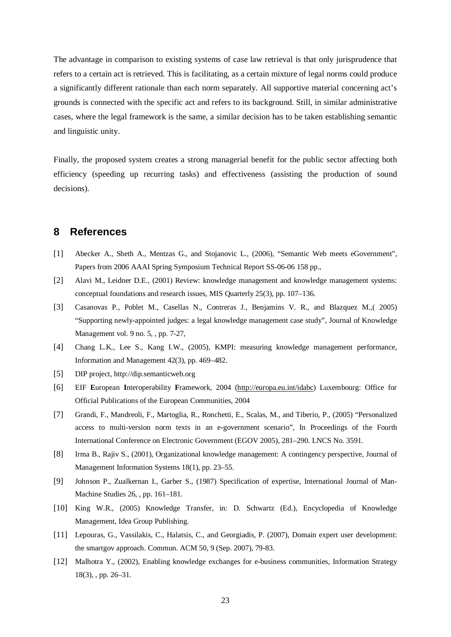The advantage in comparison to existing systems of case law retrieval is that only jurisprudence that refers to a certain act is retrieved. This is facilitating, as a certain mixture of legal norms could produce a significantly different rationale than each norm separately. All supportive material concerning act's grounds is connected with the specific act and refers to its background. Still, in similar administrative cases, where the legal framework is the same, a similar decision has to be taken establishing semantic and linguistic unity.

Finally, the proposed system creates a strong managerial benefit for the public sector affecting both efficiency (speeding up recurring tasks) and effectiveness (assisting the production of sound decisions).

## **8 References**

- <span id="page-22-5"></span>[1] Abecker A., Sheth A., Mentzas G., and Stojanovic L., (2006), "Semantic Web meets eGovernment", Papers from 2006 AAAI Spring Symposium Technical Report SS-06-06 158 pp.,
- <span id="page-22-2"></span>[2] Alavi M., Leidner D.E., (2001) Review: knowledge management and knowledge management systems: conceptual foundations and research issues, MIS Quarterly 25(3), pp. 107–136.
- <span id="page-22-9"></span>[3] Casanovas P., Poblet M., Casellas N., Contreras J., Benjamins V. R., and Blazquez M.,( 2005) "Supporting newly-appointed judges: a legal knowledge management case study", Journal of Knowledge Management vol. 9 no. 5, , pp. 7-27,
- <span id="page-22-3"></span>[4] Chang L.K., Lee S., Kang I.W., (2005), KMPI: measuring knowledge management performance, Information and Management 42(3), pp. 469–482.
- <span id="page-22-8"></span>[5] DIP project, http://dip.semanticweb.org
- <span id="page-22-6"></span>[6] EIF **E**uropean **I**nteroperability **F**ramework, 2004 [\(http://europa.eu.int/idabc\)](http://europa.eu.int/idabc) Luxembourg: Office for Official Publications of the European Communities, 2004
- <span id="page-22-10"></span>[7] Grandi, F., Mandreoli, F., Martoglia, R., Ronchetti, E., Scalas, M., and Tiberio, P., (2005) "Personalized access to multi-version norm texts in an e-government scenario", In Proceedings of the Fourth International Conference on Electronic Government (EGOV 2005), 281–290. LNCS No. 3591.
- <span id="page-22-0"></span>[8] Irma B., Rajiv S., (2001), Organizational knowledge management: A contingency perspective, Journal of Management Information Systems 18(1), pp. 23–55.
- <span id="page-22-7"></span>[9] Johnson P., Zualkernan I., Garber S., (1987) Specification of expertise, International Journal of Man-Machine Studies 26, , pp. 161–181.
- <span id="page-22-4"></span>[10] King W.R., (2005) Knowledge Transfer, in: D. Schwartz (Ed.), Encyclopedia of Knowledge Management, Idea Group Publishing.
- <span id="page-22-11"></span>[11] Lepouras, G., Vassilakis, C., Halatsis, C., and Georgiadis, P. (2007), Domain expert user development: the smartgov approach. Commun. ACM 50, 9 (Sep. 2007), 79-83.
- <span id="page-22-1"></span>[12] Malhotra Y., (2002), Enabling knowledge exchanges for e-business communities, Information Strategy 18(3), , pp. 26–31.